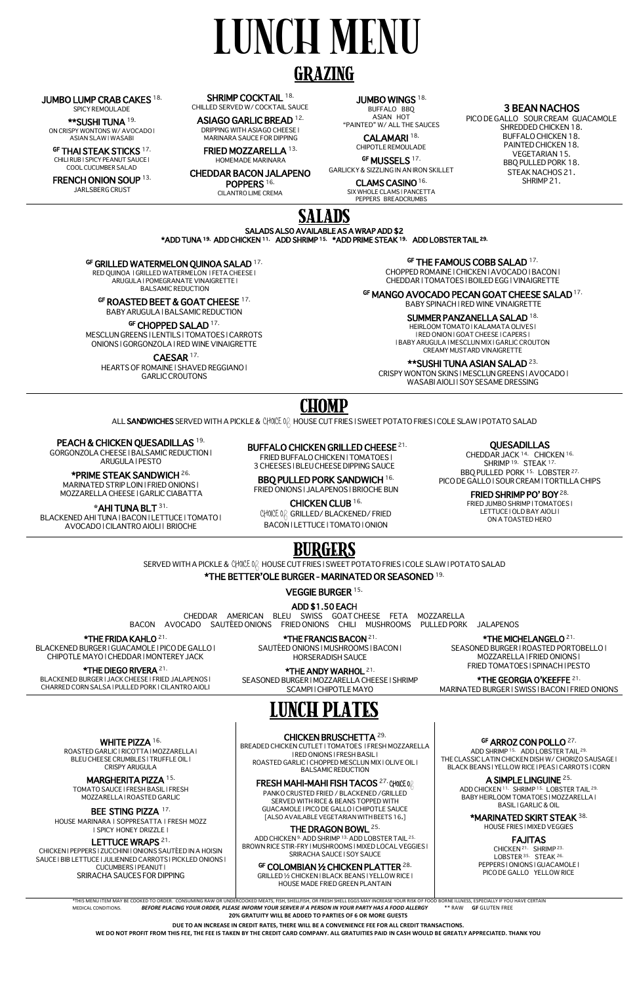# LUNCH MENU

## GRAZING

#### JUMBO LUMP CRAB CAKES 18.

SPICY REMOULADE

\*\*SUSHI TUNA 19. ON CRISPY WONTONS W/ AVOCADO | ASIAN SLAW | WASABI

GF **THAI STEAK STICKS** <sup>17.</sup><br>CHILI RUB I SPICY PEANUT SAUCE I COOL CUCUMBER SALAD

FRENCH ONION SOUP 13. JARLSBERG CRUST

SHRIMP COCKTAIL 18. CHILLED SERVED W/ COCKTAIL SAUCE

CHEDDAR BACON JALAPENO POPPERS<sup>16.</sup>

CALAMARI<sup>18.</sup> CHIPOTLE REMOULADE

GF MUSSELS  $17$ .

ASIAGO GARLIC BREAD 12. DRIPPING WITH ASIAGO CHEESE | MARINARA SAUCE FOR DIPPING

FRIED MOZZARELLA 13.

HOMEMADE MARINARA

CILANTRO LIME CREMA

JUMBO WINGS<sup>18.</sup>

BUFFALO BBQ ASIAN HOT "PAINTED" W/ ALL THE SAUCES

GF ROASTED BEET & GOAT CHEESE 17. BABY ARUGULA | BALSAMIC REDUCTION

GF CHOPPED SALAD<sup>17.</sup>

GARLICKY & SIZZLING IN AN IRON SKILLET

CLAMS CASINO 16.

SIX WHOLE CLAMS | PANCETTA PEPPERS BREADCRUMBS

3 BEAN NACHOS

PICO DE GALLO SOUR CREAM GUACAMOLE SHREDDED CHICKEN 18. BUFFALO CHICKEN 18. PAINTED CHICKEN 18. VEGETARIAN 15. BBQ PULLED PORK 18. STEAK NACHOS 21. SHRIMP 21.



SALADS ALSO AVAILABLE AS A WRAP ADD \$2 \*ADD TUNA 19. ADD CHICKEN 11. ADD SHRIMP 15. \*ADD PRIME STEAK 19. ADD LOBSTER TAIL 29.

#### GF GRILLED WATERMELON QUINOA SALAD<sup>17.</sup>

RED QUINOA | GRILLED WATERMELON | FETA CHEESE | ARUGULA | POMEGRANATE VINAIGRETTE | BALSAMIC REDUCTION

> BBQ PULLED PORK SANDWICH 16. FRIED ONIONS | JALAPENOS | BRIOCHE BUN

**CHOICE OR GRILLED/ BLACKENED/ FRIED** BACON | LETTUCE | TOMATO | ONION

MESCLUN GREENS | LENTILS | TOMATOES | CARROTS ONIONS | GORGONZOLA | RED WINE VINAIGRETTE

CAESAR 17.

HEARTS OF ROMAINE | SHAVED REGGIANO | GARLIC CROUTONS

GF THE FAMOUS COBB SALAD 17.

CHOPPED ROMAINE | CHICKEN | AVOCADO | BACON | CHEDDAR | TOMATOES | BOILED EGG | VINAIGRETTE

GF MANGO AVOCADO PECAN GOAT CHEESE SALAD<sup>17.</sup>

BABY SPINACH | RED WINE VINAIGRETTE

#### SUMMER PANZANELLA SALAD 18.

HEIRLOOM TOMATO | KALAMATA OLIVES | | RED ONION | GOAT CHEESE | CAPERS | | BABY ARUGULA | MESCLUN MIX | GARLIC CROUTON CREAMY MUSTARD VINAIGRETTE

SEASONED BURGER | MOZZARELLA CHEESE | SHRIMP SCAMPI | CHIPOTLE MAYO

\*\*SUSHI TUNA ASIAN SALAD 23.

CRISPY WONTON SKINS | MESCLUN GREENS | AVOCADO | WASABI AIOLI | SOY SESAME DRESSING

## CHOMP

ALL SANDWICHES SERVED WITH A PICKLE & **CHOICE O**F HOUSE CUT FRIES | SWEET POTATO FRIES | COLE SLAW | POTATO SALAD

PEACH & CHICKEN QUESADILLAS 19.

GORGONZOLA CHEESE | BALSAMIC REDUCTION | ARUGULA | PESTO

\*PRIME STEAK SANDWICH 26. MARINATED STRIP LOIN | FRIED ONIONS | MOZZARELLA CHEESE | GARLIC CIABATTA

**\***AHI TUNA BLT 31. BLACKENED AHI TUNA | BACON | LETTUCE | TOMATO | AVOCADO | CILANTRO AIOLI | BRIOCHE

#### BUFFALO CHICKEN GRILLED CHEESE 21.

FRIED BUFFALO CHICKEN | TOMATOES | 3 CHEESES | BLEU CHEESE DIPPING SAUCE

#### CHICKEN CLUB 16.

#### QUESADILLAS

CHEDDAR JACK 14. CHICKEN 16. SHRIMP<sup>19.</sup> STEAK<sup>17.</sup> BBQ PULLED PORK 15. LOBSTER 27. PICO DE GALLO | SOUR CREAM | TORTILLA CHIPS

> CHICKEN<sup>21</sup> SHRIMP<sup>23</sup> LOBSTER<sup>35.</sup> STEAK<sup>26.</sup> PEPPERS | ONIONS | GUACAMOLE | PICO DE GALLO YELLOW RICE

FRIED SHRIMP PO' BOY 28.

FRIED JUMBO SHRIMP | TOMATOES |

#### WHITE PIZZA 16.

LETTUCE | OLD BAY AIOLI | ON A TOASTED HERO

## **BURGERS**

SERVED WITH A PICKLE & **CHOICE O**F HOUSE CUT FRIES | SWEET POTATO FRIES | COLE SLAW | POTATO SALAD

\*THE BETTER'OLE BURGER - MARINATED OR SEASONED 19.

VEGGIE BURGER 15.

#### ADD \$1.50 EACH

CHEDDAR AMERICAN BLEU SWISS GOAT CHEESE FETA MOZZARELLA BACON AVOCADO SAUTÉED ONIONS FRIED ONIONS CHILI MUSHROOMS PULLED PORK JALAPENOS

\*THE FRIDA KAHLO 21.

BLACKENED BURGER | GUACAMOLE | PICO DE GALLO | CHIPOTLE MAYO | CHEDDAR | MONTEREY JACK

\*THE DIEGO RIVERA 21.

BLACKENED BURGER | JACK CHEESE | FRIED JALAPENOS | CHARRED CORN SALSA | PULLED PORK | CILANTRO AIOLI

\*THE FRANCIS BACON 21.

SAUTÉED ONIONS | MUSHROOMS | BACON | HORSERADISH SAUCE

#### \*THE ANDY WARHOL 21.

\*THE MICHELANGELO 21.

SEASONED BURGER | ROASTED PORTOBELLO | MOZZARELLA | FRIED ONIONS | FRIED TOMATOES | SPINACH | PESTO

\*THE GEORGIA O'KEEFFE 21. MARINATED BURGER | SWISS | BACON | FRIED ONIONS



ROASTED GARLIC | RICOTTA | MOZZARELLA | BLEU CHEESE CRUMBLES | TRUFFLE OIL | CRISPY ARUGULA

#### MARGHERITA PIZZA 15.

TOMATO SAUCE | FRESH BASIL | FRESH MOZZARELLA | ROASTED GARLIC

#### BEE STING PIZZA 17.

HOUSE MARINARA | SOPPRESATTA | FRESH MOZZ | SPICY HONEY DRIZZLE |

#### LETTUCE WRAPS<sup>21.</sup>

CHICKEN | PEPPERS | ZUCCHINI | ONIONS SAUTÉED IN A HOISIN SAUCE | BIB LETTUCE | JULIENNED CARROTS | PICKLED ONIONS | CUCUMBERS | PEANUT | SRIRACHA SAUCES FOR DIPPING

#### CHICKEN BRUSCHETTA 29.

BREADED CHICKEN CUTLET | TOMATOES | FRESH MOZZARELLA | RED ONIONS | FRESH BASIL | ROASTED GARLIC | CHOPPED MESCLUN MIX | OLIVE OIL | BALSAMIC REDUCTION

#### $\mathsf{F} \mathsf{RESH} \mathsf{MAHI}\text{-}\mathsf{MAHI}$  FISH TACOS  $^{27}$  CHOICE 0  $\beta$

PANKO CRUSTED FRIED / BLACKENED /GRILLED SERVED WITH RICE & BEANS TOPPED WITH GUACAMOLE | PICO DE GALLO | CHIPOTLE SAUCE [ALSO AVAILABLE VEGETARIAN WITH BEETS 16.]

#### THE DRAGON BOWL 25.

ADD CHICKEN 9. ADD SHRIMP 13. ADD LOBSTER TAIL 25. BROWN RICE STIR-FRY | MUSHROOMS | MIXED LOCAL VEGGIES | SRIRACHA SAUCE | SOY SAUCE

#### $^{\mathrm{GF}}$  COLOMBIAN ½ CHICKEN PLATTER  $^{28.}$

GRILLED ½ CHICKEN | BLACK BEANS | YELLOW RICE | HOUSE MADE FRIED GREEN PLANTAIN

#### GF ARROZ CON POLLO<sup>27.</sup>

ADD SHRIMP 15. ADD LOBSTER TAIL 29. THE CLASSIC LATIN CHICKEN DISH W/ CHORIZO SAUSAGE | BLACK BEANS | YELLOW RICE | PEAS | CARROTS | CORN

#### A SIMPLE LINGUINE 25.

ADD CHICKEN 11. SHRIMP 15. LOBSTER TAIL 29. BABY HEIRLOOM TOMATOES | MOZZARELLA | BASIL | GARLIC & OIL

#### \*MARINATED SKIRT STEAK 38.

HOUSE FRIES | MIXED VEGGIES

#### FAJITAS

\*THIS MENU ITEM MAY BE COOKED TO ORDER. CONSUMING RAW OR UNDERCOOKED MEATS, FISH, SHELLFISH, OR FRESH SHELL EGGS MAY INCREASE YOUR RISK OF FOOD BORNE ILLNESS, ESPECIALLY IF YOU HAVE CERTAIN MEDICAL CONDITIONS. *BEFORE PLACING YOUR ORDER, PLEASE INFORM YOUR SERVER IF A PERSON IN YOUR PARTY HAS A FOOD ALLERGY* \*\* RAW **GF** GLUTEN FREE **20% GRATUITY WILL BE ADDED TO PARTIES OF 6 OR MORE GUESTS**

#### **DUE TO AN INCREASE IN CREDIT RATES, THERE WILL BE A CONVENIENCE FEE FOR ALL CREDIT TRANSACTIONS.**

**WE DO NOT PROFIT FROM THIS FEE, THE FEE IS TAKEN BY THE CREDIT CARD COMPANY. ALL GRATUITIES PAID IN CASH WOULD BE GREATLY APPRECIATED. THANK YOU**